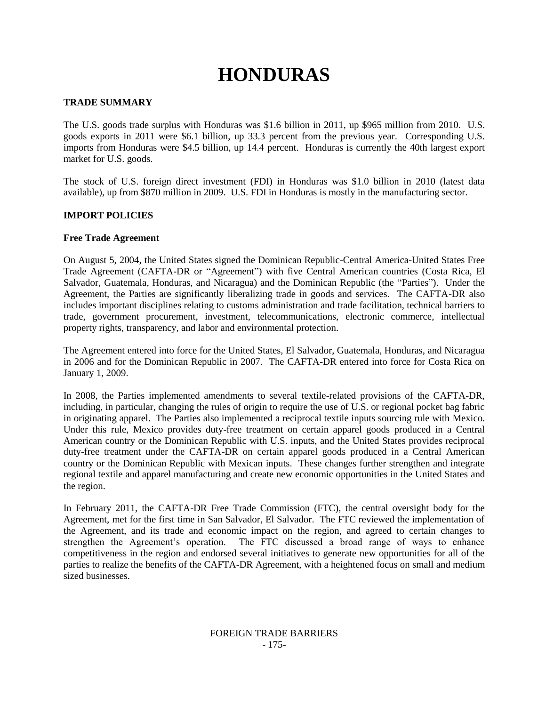# **HONDURAS**

# **TRADE SUMMARY**

The U.S. goods trade surplus with Honduras was \$1.6 billion in 2011, up \$965 million from 2010. U.S. goods exports in 2011 were \$6.1 billion, up 33.3 percent from the previous year. Corresponding U.S. imports from Honduras were \$4.5 billion, up 14.4 percent. Honduras is currently the 40th largest export market for U.S. goods.

The stock of U.S. foreign direct investment (FDI) in Honduras was \$1.0 billion in 2010 (latest data available), up from \$870 million in 2009. U.S. FDI in Honduras is mostly in the manufacturing sector.

## **IMPORT POLICIES**

## **Free Trade Agreement**

On August 5, 2004, the United States signed the Dominican Republic-Central America-United States Free Trade Agreement (CAFTA-DR or "Agreement") with five Central American countries (Costa Rica, El Salvador, Guatemala, Honduras, and Nicaragua) and the Dominican Republic (the "Parties"). Under the Agreement, the Parties are significantly liberalizing trade in goods and services. The CAFTA-DR also includes important disciplines relating to customs administration and trade facilitation, technical barriers to trade, government procurement, investment, telecommunications, electronic commerce, intellectual property rights, transparency, and labor and environmental protection.

The Agreement entered into force for the United States, El Salvador, Guatemala, Honduras, and Nicaragua in 2006 and for the Dominican Republic in 2007. The CAFTA-DR entered into force for Costa Rica on January 1, 2009.

In 2008, the Parties implemented amendments to several textile-related provisions of the CAFTA-DR, including, in particular, changing the rules of origin to require the use of U.S. or regional pocket bag fabric in originating apparel. The Parties also implemented a reciprocal textile inputs sourcing rule with Mexico. Under this rule, Mexico provides duty-free treatment on certain apparel goods produced in a Central American country or the Dominican Republic with U.S. inputs, and the United States provides reciprocal duty-free treatment under the CAFTA-DR on certain apparel goods produced in a Central American country or the Dominican Republic with Mexican inputs. These changes further strengthen and integrate regional textile and apparel manufacturing and create new economic opportunities in the United States and the region.

In February 2011, the CAFTA-DR Free Trade Commission (FTC), the central oversight body for the Agreement, met for the first time in San Salvador, El Salvador. The FTC reviewed the implementation of the Agreement, and its trade and economic impact on the region, and agreed to certain changes to strengthen the Agreement"s operation. The FTC discussed a broad range of ways to enhance competitiveness in the region and endorsed several initiatives to generate new opportunities for all of the parties to realize the benefits of the CAFTA-DR Agreement, with a heightened focus on small and medium sized businesses.

## FOREIGN TRADE BARRIERS - 175-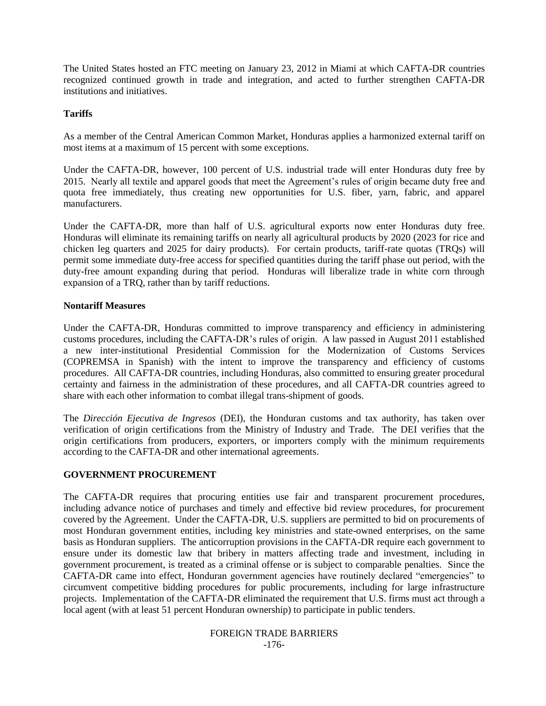The United States hosted an FTC meeting on January 23, 2012 in Miami at which CAFTA-DR countries recognized continued growth in trade and integration, and acted to further strengthen CAFTA-DR institutions and initiatives.

## **Tariffs**

As a member of the Central American Common Market, Honduras applies a harmonized external tariff on most items at a maximum of 15 percent with some exceptions.

Under the CAFTA-DR, however, 100 percent of U.S. industrial trade will enter Honduras duty free by 2015. Nearly all textile and apparel goods that meet the Agreement"s rules of origin became duty free and quota free immediately, thus creating new opportunities for U.S. fiber, yarn, fabric, and apparel manufacturers.

Under the CAFTA-DR, more than half of U.S. agricultural exports now enter Honduras duty free. Honduras will eliminate its remaining tariffs on nearly all agricultural products by 2020 (2023 for rice and chicken leg quarters and 2025 for dairy products). For certain products, tariff-rate quotas (TRQs) will permit some immediate duty-free access for specified quantities during the tariff phase out period, with the duty-free amount expanding during that period. Honduras will liberalize trade in white corn through expansion of a TRQ, rather than by tariff reductions.

### **Nontariff Measures**

Under the CAFTA-DR, Honduras committed to improve transparency and efficiency in administering customs procedures, including the CAFTA-DR"s rules of origin. A law passed in August 2011 established a new inter-institutional Presidential Commission for the Modernization of Customs Services (COPREMSA in Spanish) with the intent to improve the transparency and efficiency of customs procedures. All CAFTA-DR countries, including Honduras, also committed to ensuring greater procedural certainty and fairness in the administration of these procedures, and all CAFTA-DR countries agreed to share with each other information to combat illegal trans-shipment of goods.

The *Dirección Ejecutiva de Ingresos* (DEI), the Honduran customs and tax authority, has taken over verification of origin certifications from the Ministry of Industry and Trade. The DEI verifies that the origin certifications from producers, exporters, or importers comply with the minimum requirements according to the CAFTA-DR and other international agreements.

## **GOVERNMENT PROCUREMENT**

The CAFTA-DR requires that procuring entities use fair and transparent procurement procedures, including advance notice of purchases and timely and effective bid review procedures, for procurement covered by the Agreement. Under the CAFTA-DR, U.S. suppliers are permitted to bid on procurements of most Honduran government entities, including key ministries and state-owned enterprises, on the same basis as Honduran suppliers. The anticorruption provisions in the CAFTA-DR require each government to ensure under its domestic law that bribery in matters affecting trade and investment, including in government procurement, is treated as a criminal offense or is subject to comparable penalties. Since the CAFTA-DR came into effect, Honduran government agencies have routinely declared "emergencies" to circumvent competitive bidding procedures for public procurements, including for large infrastructure projects. Implementation of the CAFTA-DR eliminated the requirement that U.S. firms must act through a local agent (with at least 51 percent Honduran ownership) to participate in public tenders.

#### FOREIGN TRADE BARRIERS -176-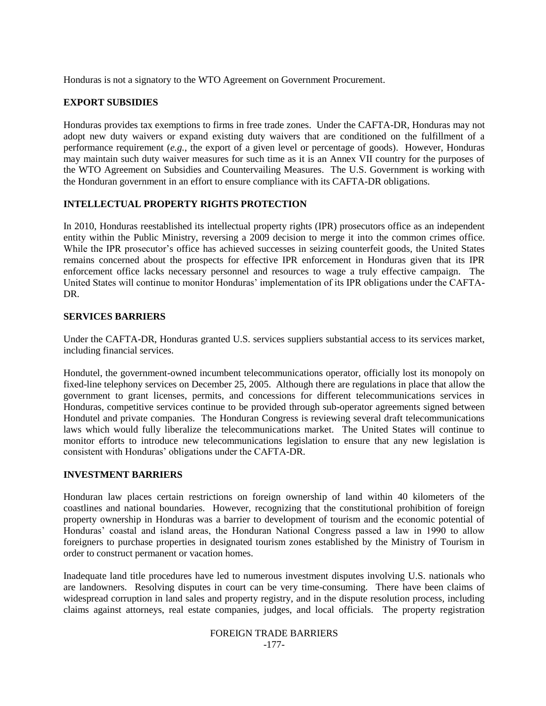Honduras is not a signatory to the WTO Agreement on Government Procurement.

## **EXPORT SUBSIDIES**

Honduras provides tax exemptions to firms in free trade zones. Under the CAFTA-DR, Honduras may not adopt new duty waivers or expand existing duty waivers that are conditioned on the fulfillment of a performance requirement (*e.g.*, the export of a given level or percentage of goods). However, Honduras may maintain such duty waiver measures for such time as it is an Annex VII country for the purposes of the WTO Agreement on Subsidies and Countervailing Measures. The U.S. Government is working with the Honduran government in an effort to ensure compliance with its CAFTA-DR obligations.

# **INTELLECTUAL PROPERTY RIGHTS PROTECTION**

In 2010, Honduras reestablished its intellectual property rights (IPR) prosecutors office as an independent entity within the Public Ministry, reversing a 2009 decision to merge it into the common crimes office. While the IPR prosecutor's office has achieved successes in seizing counterfeit goods, the United States remains concerned about the prospects for effective IPR enforcement in Honduras given that its IPR enforcement office lacks necessary personnel and resources to wage a truly effective campaign. The United States will continue to monitor Honduras' implementation of its IPR obligations under the CAFTA-DR.

## **SERVICES BARRIERS**

Under the CAFTA-DR, Honduras granted U.S. services suppliers substantial access to its services market, including financial services.

Hondutel, the government-owned incumbent telecommunications operator, officially lost its monopoly on fixed-line telephony services on December 25, 2005. Although there are regulations in place that allow the government to grant licenses, permits, and concessions for different telecommunications services in Honduras, competitive services continue to be provided through sub-operator agreements signed between Hondutel and private companies. The Honduran Congress is reviewing several draft telecommunications laws which would fully liberalize the telecommunications market. The United States will continue to monitor efforts to introduce new telecommunications legislation to ensure that any new legislation is consistent with Honduras" obligations under the CAFTA-DR.

## **INVESTMENT BARRIERS**

Honduran law places certain restrictions on foreign ownership of land within 40 kilometers of the coastlines and national boundaries. However, recognizing that the constitutional prohibition of foreign property ownership in Honduras was a barrier to development of tourism and the economic potential of Honduras" coastal and island areas, the Honduran National Congress passed a law in 1990 to allow foreigners to purchase properties in designated tourism zones established by the Ministry of Tourism in order to construct permanent or vacation homes.

Inadequate land title procedures have led to numerous investment disputes involving U.S. nationals who are landowners. Resolving disputes in court can be very time-consuming. There have been claims of widespread corruption in land sales and property registry, and in the dispute resolution process, including claims against attorneys, real estate companies, judges, and local officials. The property registration

#### FOREIGN TRADE BARRIERS -177-